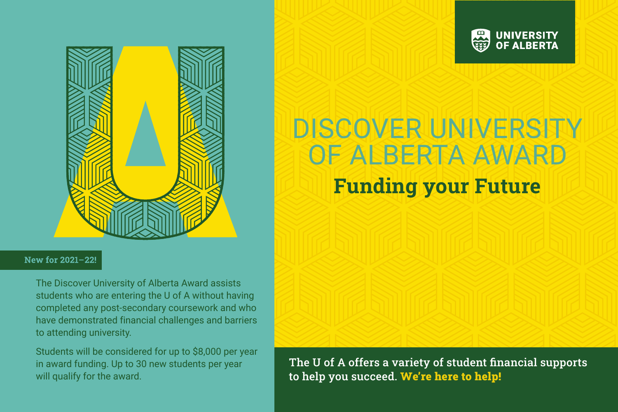



#### New for 2021-22!

The Discover University of Alberta Award assists students who are entering the U of A without having completed any post-secondary coursework and who have demonstrated financial challenges and barriers to attending university.

Students will be considered for up to \$8,000 per year in award funding. Up to 30 new students per year will qualify for the award.

# DISCOVER UNIVERSITY OF ALBERTA AWARD

## Funding your Future

The U of A offers a variety of student financial supports to help you succeed. We're here to help!